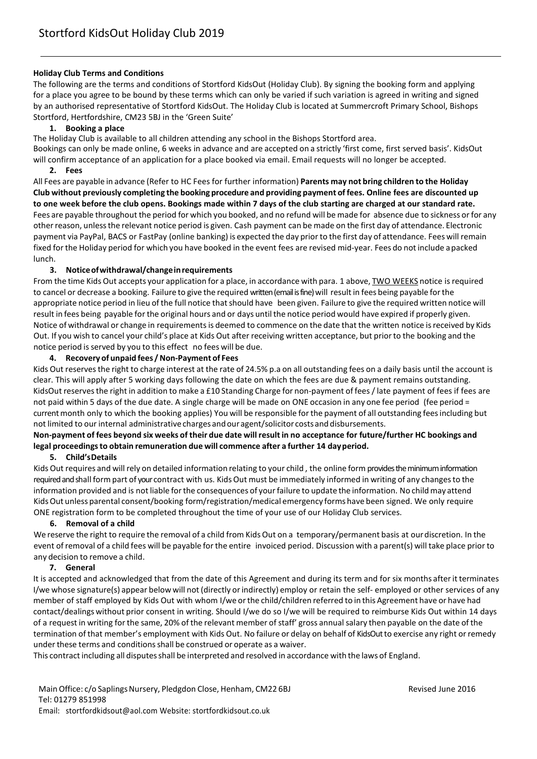#### **Holiday Club Terms and Conditions**

The following are the terms and conditions of Stortford KidsOut (Holiday Club). By signing the booking form and applying for a place you agree to be bound by these terms which can only be varied if such variation is agreed in writing and signed by an authorised representative of Stortford KidsOut. The Holiday Club is located at Summercroft Primary School, Bishops Stortford, Hertfordshire, CM23 5BJ in the 'Green Suite'

#### **1. Booking a place**

The Holiday Club is available to all children attending any school in the Bishops Stortford area.

Bookings can only be made online, 6 weeks in advance and are accepted on a strictly 'first come, first served basis'. KidsOut will confirm acceptance of an application for a place booked via email. Email requests will no longer be accepted. **2. Fees**

All Fees are payable in advance (Refer to HC Fees for further information) **Parents may not bring children to the Holiday Club without previously completing the booking procedure and providing payment of fees. Online fees are discounted up to one week before the club opens. Bookings made within 7 days of the club starting are charged at our standard rate.** Fees are payable throughout the period for which you booked, and no refund will be made for absence due to sickness or for any otherreason, unlessthe relevant notice period is given. Cash payment can be made on the first day of attendance. Electronic payment via PayPal, BACS or FastPay (online banking) is expected the day priorto the first day of attendance. Fees will remain fixed forthe Holiday period for which you have booked in the event fees are revised mid-year. Fees do not include a packed lunch.

## **3. Noticeofwithdrawal/changeinrequirements**

From the time Kids Out accepts your application for a place, in accordance with para. 1 above, TWO WEEKS notice is required to cancel or decrease a booking. Failure to give the required written (email is fine) will result in fees being payable for the appropriate notice period in lieu of the full notice that should have been given. Failure to give the required written notice will result in fees being payable forthe original hours and or days until the notice period would have expired if properly given. Notice of withdrawal or change in requirements is deemed to commence on the date that the written notice is received by Kids Out. If you wish to cancel your child's place at Kids Out after receiving written acceptance, but priorto the booking and the notice period is served by you to this effect no fees will be due.

## **4. Recovery of unpaid fees /Non-Payment of Fees**

Kids Out reservesthe right to charge interest at the rate of 24.5% p.a on all outstanding fees on a daily basis until the account is clear. This will apply after 5 working days following the date on which the fees are due & payment remains outstanding. KidsOut reservesthe right in addition to make a £10 Standing Charge for non-payment of fees / late payment of fees if fees are not paid within 5 days of the due date. A single charge will be made on ONE occasion in any one fee period (fee period = current month only to which the booking applies) You will be responsible for the payment of all outstanding fees including but not limited to our internal administrative charges andour agent/solicitor costs and disbursements.

# **Non-payment of fees beyond six weeks of their due date will result in no acceptance for future/further HC bookings and legal proceedingsto obtain remuneration due will commence after a further 14 dayperiod.**

#### **5. Child'sDetails**

Kids Out requires and will rely on detailed information relating to your child, the online form provides the minimum information required and shall form part of yourcontract with us. KidsOut must be immediately informed in writing of any changesto the information provided and is not liable for the consequences of your failure to update the information. No child may attend KidsOut unless parental consent/booking form/registration/medical emergency forms have been signed. We only require ONE registration form to be completed throughout the time of your use of our Holiday Club services.

#### **6. Removal of a child**

We reserve the right to require the removal of a child from Kids Out on a temporary/permanent basis at our discretion. In the event ofremoval of a child fees will be payable forthe entire invoiced period. Discussion with a parent(s) will take place prior to any decision to remove a child.

#### **7. General**

It is accepted and acknowledged that from the date of this Agreement and during its term and for six months afterit terminates I/we whose signature(s) appear below will not (directly orindirectly) employ or retain the self- employed or other services of any member of staff employed by Kids Out with whom I/we orthe child/children referred to in this Agreement have or have had contact/dealings without prior consent in writing. Should I/we do so I/we will be required to reimburse Kids Out within 14 days of a request in writing for the same, 20% of the relevant member of staff' gross annual salary then payable on the date of the termination of that member's employment with Kids Out. No failure or delay on behalf of KidsOutto exercise any right orremedy under these terms and conditions shall be construed or operate as a waiver.

This contract including all disputes shall be interpreted and resolved in accordance with the laws of England.